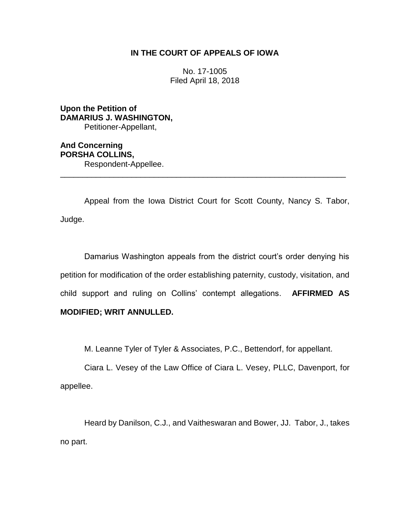# **IN THE COURT OF APPEALS OF IOWA**

No. 17-1005 Filed April 18, 2018

**Upon the Petition of DAMARIUS J. WASHINGTON,** Petitioner-Appellant,

**And Concerning PORSHA COLLINS,** Respondent-Appellee.

Appeal from the Iowa District Court for Scott County, Nancy S. Tabor, Judge.

\_\_\_\_\_\_\_\_\_\_\_\_\_\_\_\_\_\_\_\_\_\_\_\_\_\_\_\_\_\_\_\_\_\_\_\_\_\_\_\_\_\_\_\_\_\_\_\_\_\_\_\_\_\_\_\_\_\_\_\_\_\_\_\_

Damarius Washington appeals from the district court's order denying his petition for modification of the order establishing paternity, custody, visitation, and child support and ruling on Collins' contempt allegations. **AFFIRMED AS MODIFIED; WRIT ANNULLED.**

M. Leanne Tyler of Tyler & Associates, P.C., Bettendorf, for appellant.

Ciara L. Vesey of the Law Office of Ciara L. Vesey, PLLC, Davenport, for appellee.

Heard by Danilson, C.J., and Vaitheswaran and Bower, JJ. Tabor, J., takes no part.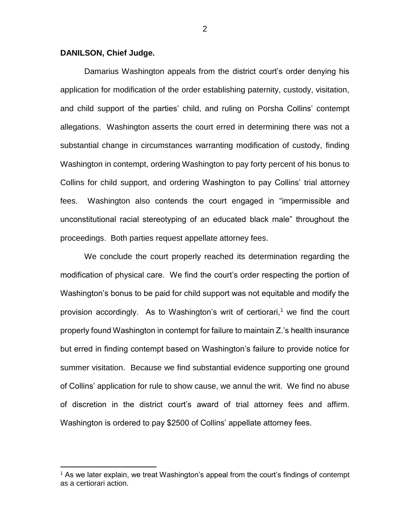# **DANILSON, Chief Judge.**

 $\overline{a}$ 

Damarius Washington appeals from the district court's order denying his application for modification of the order establishing paternity, custody, visitation, and child support of the parties' child, and ruling on Porsha Collins' contempt allegations. Washington asserts the court erred in determining there was not a substantial change in circumstances warranting modification of custody, finding Washington in contempt, ordering Washington to pay forty percent of his bonus to Collins for child support, and ordering Washington to pay Collins' trial attorney fees. Washington also contends the court engaged in "impermissible and unconstitutional racial stereotyping of an educated black male" throughout the proceedings. Both parties request appellate attorney fees.

We conclude the court properly reached its determination regarding the modification of physical care. We find the court's order respecting the portion of Washington's bonus to be paid for child support was not equitable and modify the provision accordingly. As to Washington's writ of certiorari,<sup>1</sup> we find the court properly found Washington in contempt for failure to maintain Z.'s health insurance but erred in finding contempt based on Washington's failure to provide notice for summer visitation. Because we find substantial evidence supporting one ground of Collins' application for rule to show cause, we annul the writ. We find no abuse of discretion in the district court's award of trial attorney fees and affirm. Washington is ordered to pay \$2500 of Collins' appellate attorney fees.

<sup>&</sup>lt;sup>1</sup> As we later explain, we treat Washington's appeal from the court's findings of contempt as a certiorari action.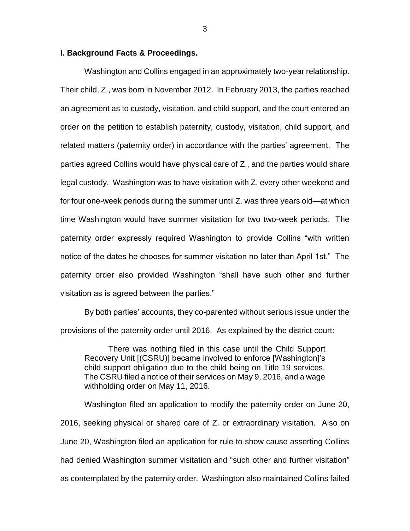## **I. Background Facts & Proceedings.**

Washington and Collins engaged in an approximately two-year relationship. Their child, Z., was born in November 2012. In February 2013, the parties reached an agreement as to custody, visitation, and child support, and the court entered an order on the petition to establish paternity, custody, visitation, child support, and related matters (paternity order) in accordance with the parties' agreement. The parties agreed Collins would have physical care of Z., and the parties would share legal custody. Washington was to have visitation with Z. every other weekend and for four one-week periods during the summer until Z. was three years old—at which time Washington would have summer visitation for two two-week periods. The paternity order expressly required Washington to provide Collins "with written notice of the dates he chooses for summer visitation no later than April 1st." The paternity order also provided Washington "shall have such other and further visitation as is agreed between the parties."

By both parties' accounts, they co-parented without serious issue under the provisions of the paternity order until 2016. As explained by the district court:

There was nothing filed in this case until the Child Support Recovery Unit [(CSRU)] became involved to enforce [Washington]'s child support obligation due to the child being on Title 19 services. The CSRU filed a notice of their services on May 9, 2016, and a wage withholding order on May 11, 2016.

Washington filed an application to modify the paternity order on June 20, 2016, seeking physical or shared care of Z. or extraordinary visitation. Also on June 20, Washington filed an application for rule to show cause asserting Collins had denied Washington summer visitation and "such other and further visitation" as contemplated by the paternity order. Washington also maintained Collins failed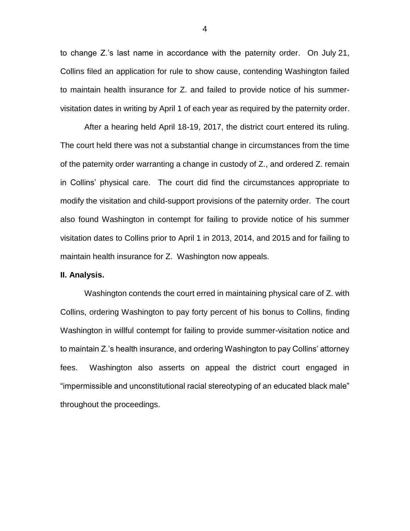to change Z.'s last name in accordance with the paternity order. On July 21, Collins filed an application for rule to show cause, contending Washington failed to maintain health insurance for Z. and failed to provide notice of his summervisitation dates in writing by April 1 of each year as required by the paternity order.

After a hearing held April 18-19, 2017, the district court entered its ruling. The court held there was not a substantial change in circumstances from the time of the paternity order warranting a change in custody of Z., and ordered Z. remain in Collins' physical care. The court did find the circumstances appropriate to modify the visitation and child-support provisions of the paternity order. The court also found Washington in contempt for failing to provide notice of his summer visitation dates to Collins prior to April 1 in 2013, 2014, and 2015 and for failing to maintain health insurance for Z. Washington now appeals.

#### **II. Analysis.**

Washington contends the court erred in maintaining physical care of Z. with Collins, ordering Washington to pay forty percent of his bonus to Collins, finding Washington in willful contempt for failing to provide summer-visitation notice and to maintain Z.'s health insurance, and ordering Washington to pay Collins' attorney fees. Washington also asserts on appeal the district court engaged in "impermissible and unconstitutional racial stereotyping of an educated black male" throughout the proceedings.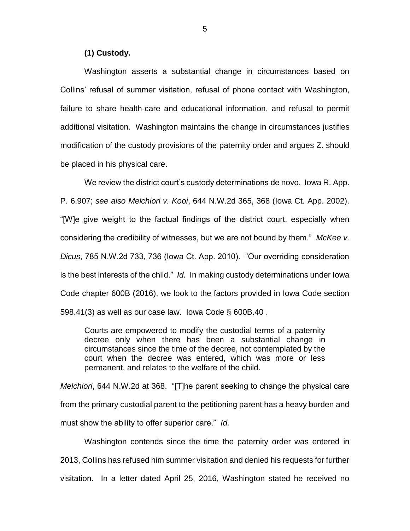# **(1) Custody.**

Washington asserts a substantial change in circumstances based on Collins' refusal of summer visitation, refusal of phone contact with Washington, failure to share health-care and educational information, and refusal to permit additional visitation. Washington maintains the change in circumstances justifies modification of the custody provisions of the paternity order and argues Z. should be placed in his physical care.

We review the district court's custody determinations de novo. Iowa R. App. P. 6.907; *see also Melchiori v. Kooi*, 644 N.W.2d 365, 368 (Iowa Ct. App. 2002). "[W]e give weight to the factual findings of the district court, especially when considering the credibility of witnesses, but we are not bound by them." *McKee v. Dicus*, 785 N.W.2d 733, 736 (Iowa Ct. App. 2010). "Our overriding consideration is the best interests of the child." *Id.* In making custody determinations under Iowa Code chapter 600B (2016), we look to the factors provided in Iowa Code section 598.41(3) as well as our case law. Iowa Code § 600B.40 .

Courts are empowered to modify the custodial terms of a paternity decree only when there has been a substantial change in circumstances since the time of the decree, not contemplated by the court when the decree was entered, which was more or less permanent, and relates to the welfare of the child.

*Melchiori*, 644 N.W.2d at 368. "[T]he parent seeking to change the physical care from the primary custodial parent to the petitioning parent has a heavy burden and must show the ability to offer superior care." *Id.*

Washington contends since the time the paternity order was entered in 2013, Collins has refused him summer visitation and denied his requests for further visitation. In a letter dated April 25, 2016, Washington stated he received no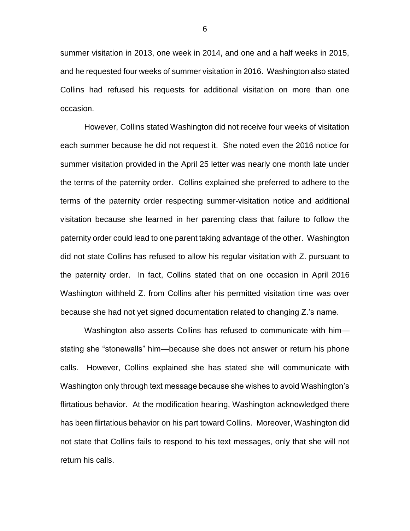summer visitation in 2013, one week in 2014, and one and a half weeks in 2015, and he requested four weeks of summer visitation in 2016. Washington also stated Collins had refused his requests for additional visitation on more than one occasion.

However, Collins stated Washington did not receive four weeks of visitation each summer because he did not request it. She noted even the 2016 notice for summer visitation provided in the April 25 letter was nearly one month late under the terms of the paternity order. Collins explained she preferred to adhere to the terms of the paternity order respecting summer-visitation notice and additional visitation because she learned in her parenting class that failure to follow the paternity order could lead to one parent taking advantage of the other. Washington did not state Collins has refused to allow his regular visitation with Z. pursuant to the paternity order. In fact, Collins stated that on one occasion in April 2016 Washington withheld Z. from Collins after his permitted visitation time was over because she had not yet signed documentation related to changing Z.'s name.

Washington also asserts Collins has refused to communicate with him stating she "stonewalls" him—because she does not answer or return his phone calls. However, Collins explained she has stated she will communicate with Washington only through text message because she wishes to avoid Washington's flirtatious behavior. At the modification hearing, Washington acknowledged there has been flirtatious behavior on his part toward Collins. Moreover, Washington did not state that Collins fails to respond to his text messages, only that she will not return his calls.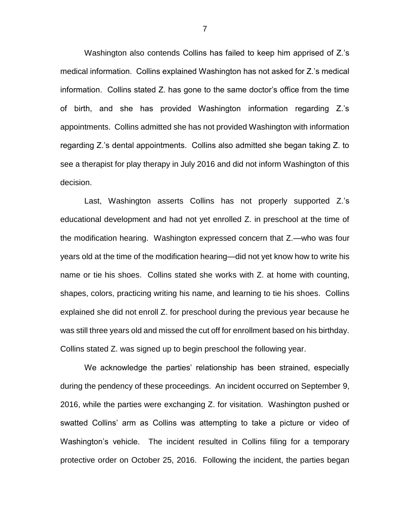Washington also contends Collins has failed to keep him apprised of Z.'s medical information. Collins explained Washington has not asked for Z.'s medical information. Collins stated Z. has gone to the same doctor's office from the time of birth, and she has provided Washington information regarding Z.'s appointments. Collins admitted she has not provided Washington with information regarding Z.'s dental appointments. Collins also admitted she began taking Z. to see a therapist for play therapy in July 2016 and did not inform Washington of this decision.

Last, Washington asserts Collins has not properly supported Z.'s educational development and had not yet enrolled Z. in preschool at the time of the modification hearing. Washington expressed concern that Z.—who was four years old at the time of the modification hearing—did not yet know how to write his name or tie his shoes. Collins stated she works with Z. at home with counting, shapes, colors, practicing writing his name, and learning to tie his shoes. Collins explained she did not enroll Z. for preschool during the previous year because he was still three years old and missed the cut off for enrollment based on his birthday. Collins stated Z. was signed up to begin preschool the following year.

We acknowledge the parties' relationship has been strained, especially during the pendency of these proceedings. An incident occurred on September 9, 2016, while the parties were exchanging Z. for visitation. Washington pushed or swatted Collins' arm as Collins was attempting to take a picture or video of Washington's vehicle. The incident resulted in Collins filing for a temporary protective order on October 25, 2016. Following the incident, the parties began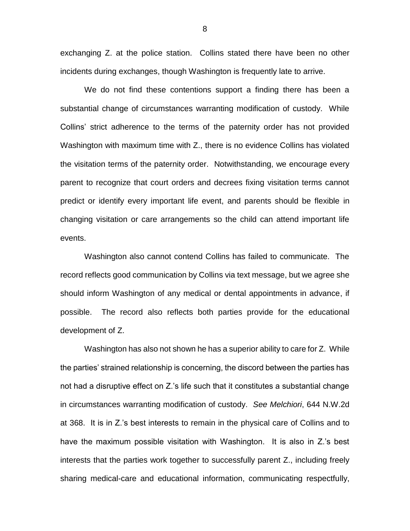exchanging Z. at the police station. Collins stated there have been no other incidents during exchanges, though Washington is frequently late to arrive.

We do not find these contentions support a finding there has been a substantial change of circumstances warranting modification of custody. While Collins' strict adherence to the terms of the paternity order has not provided Washington with maximum time with Z., there is no evidence Collins has violated the visitation terms of the paternity order. Notwithstanding, we encourage every parent to recognize that court orders and decrees fixing visitation terms cannot predict or identify every important life event, and parents should be flexible in changing visitation or care arrangements so the child can attend important life events.

Washington also cannot contend Collins has failed to communicate. The record reflects good communication by Collins via text message, but we agree she should inform Washington of any medical or dental appointments in advance, if possible. The record also reflects both parties provide for the educational development of Z.

Washington has also not shown he has a superior ability to care for Z. While the parties' strained relationship is concerning, the discord between the parties has not had a disruptive effect on Z.'s life such that it constitutes a substantial change in circumstances warranting modification of custody. *See Melchiori*, 644 N.W.2d at 368. It is in Z.'s best interests to remain in the physical care of Collins and to have the maximum possible visitation with Washington. It is also in Z.'s best interests that the parties work together to successfully parent Z., including freely sharing medical-care and educational information, communicating respectfully,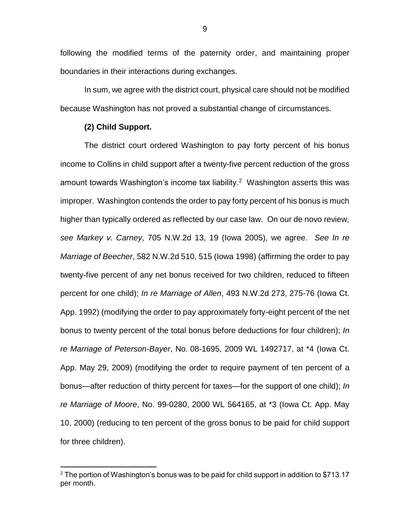following the modified terms of the paternity order, and maintaining proper boundaries in their interactions during exchanges.

In sum, we agree with the district court, physical care should not be modified because Washington has not proved a substantial change of circumstances.

### **(2) Child Support.**

 $\overline{a}$ 

The district court ordered Washington to pay forty percent of his bonus income to Collins in child support after a twenty-five percent reduction of the gross amount towards Washington's income tax liability. $2$  Washington asserts this was improper. Washington contends the order to pay forty percent of his bonus is much higher than typically ordered as reflected by our case law. On our de novo review, *see Markey v. Carney*, 705 N.W.2d 13, 19 (Iowa 2005), we agree. *See In re Marriage of Beecher*, 582 N.W.2d 510, 515 (Iowa 1998) (affirming the order to pay twenty-five percent of any net bonus received for two children, reduced to fifteen percent for one child); *In re Marriage of Allen*, 493 N.W.2d 273, 275-76 (Iowa Ct. App. 1992) (modifying the order to pay approximately forty-eight percent of the net bonus to twenty percent of the total bonus before deductions for four children); *In re Marriage of Peterson-Bayer*, No. 08-1695, 2009 WL 1492717, at \*4 (Iowa Ct. App. May 29, 2009) (modifying the order to require payment of ten percent of a bonus—after reduction of thirty percent for taxes—for the support of one child); *In re Marriage of Moore*, No. 99-0280, 2000 WL 564165, at \*3 (Iowa Ct. App. May 10, 2000) (reducing to ten percent of the gross bonus to be paid for child support for three children).

 $2$  The portion of Washington's bonus was to be paid for child support in addition to \$713.17 per month.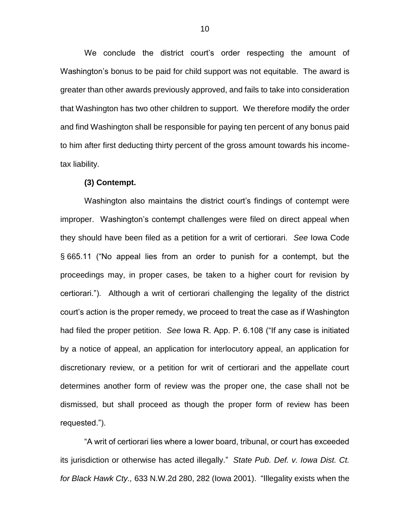We conclude the district court's order respecting the amount of Washington's bonus to be paid for child support was not equitable. The award is greater than other awards previously approved, and fails to take into consideration that Washington has two other children to support. We therefore modify the order and find Washington shall be responsible for paying ten percent of any bonus paid to him after first deducting thirty percent of the gross amount towards his incometax liability.

#### **(3) Contempt.**

Washington also maintains the district court's findings of contempt were improper. Washington's contempt challenges were filed on direct appeal when they should have been filed as a petition for a writ of certiorari. *See* Iowa Code § 665.11 ("No appeal lies from an order to punish for a contempt, but the proceedings may, in proper cases, be taken to a higher court for revision by certiorari."). Although a writ of certiorari challenging the legality of the district court's action is the proper remedy, we proceed to treat the case as if Washington had filed the proper petition. *See* Iowa R. App. P. 6.108 ("If any case is initiated by a notice of appeal, an application for interlocutory appeal, an application for discretionary review, or a petition for writ of certiorari and the appellate court determines another form of review was the proper one, the case shall not be dismissed, but shall proceed as though the proper form of review has been requested.").

"A writ of certiorari lies where a lower board, tribunal, or court has exceeded its jurisdiction or otherwise has acted illegally." *State Pub. Def. v. Iowa Dist. Ct. for Black Hawk Cty.,* 633 N.W.2d 280, 282 (Iowa 2001). "Illegality exists when the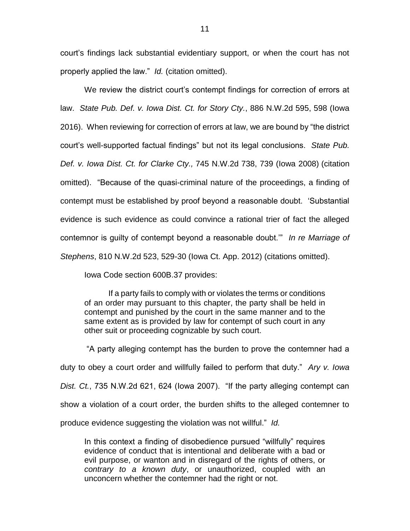court's findings lack substantial evidentiary support, or when the court has not properly applied the law." *Id.* (citation omitted).

We review the district court's contempt findings for correction of errors at law. *State Pub. Def. v. Iowa Dist. Ct. for Story Cty.*, 886 N.W.2d 595, 598 (Iowa 2016). When reviewing for correction of errors at law, we are bound by "the district court's well-supported factual findings" but not its legal conclusions. *State Pub. Def. v. Iowa Dist. Ct. for Clarke Cty.,* 745 N.W.2d 738, 739 (Iowa 2008) (citation omitted). "Because of the quasi-criminal nature of the proceedings, a finding of contempt must be established by proof beyond a reasonable doubt. 'Substantial evidence is such evidence as could convince a rational trier of fact the alleged contemnor is guilty of contempt beyond a reasonable doubt.'" *In re Marriage of Stephens*, 810 N.W.2d 523, 529-30 (Iowa Ct. App. 2012) (citations omitted).

Iowa Code section 600B.37 provides:

If a party fails to comply with or violates the terms or conditions of an order may pursuant to this chapter, the party shall be held in contempt and punished by the court in the same manner and to the same extent as is provided by law for contempt of such court in any other suit or proceeding cognizable by such court.

"A party alleging contempt has the burden to prove the contemner had a duty to obey a court order and willfully failed to perform that duty." *Ary v. Iowa Dist. Ct.*, 735 N.W.2d 621, 624 (Iowa 2007). "If the party alleging contempt can show a violation of a court order, the burden shifts to the alleged contemner to produce evidence suggesting the violation was not willful." *Id.*

In this context a finding of disobedience pursued "willfully" requires evidence of conduct that is intentional and deliberate with a bad or evil purpose, or wanton and in disregard of the rights of others, or *contrary to a known duty*, or unauthorized, coupled with an unconcern whether the contemner had the right or not.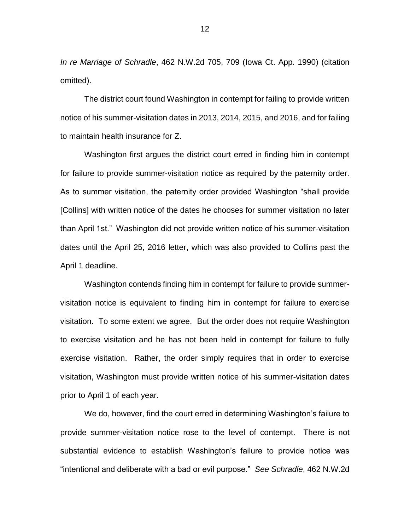*In re Marriage of Schradle*, 462 N.W.2d 705, 709 (Iowa Ct. App. 1990) (citation omitted).

The district court found Washington in contempt for failing to provide written notice of his summer-visitation dates in 2013, 2014, 2015, and 2016, and for failing to maintain health insurance for Z.

Washington first argues the district court erred in finding him in contempt for failure to provide summer-visitation notice as required by the paternity order. As to summer visitation, the paternity order provided Washington "shall provide [Collins] with written notice of the dates he chooses for summer visitation no later than April 1st." Washington did not provide written notice of his summer-visitation dates until the April 25, 2016 letter, which was also provided to Collins past the April 1 deadline.

Washington contends finding him in contempt for failure to provide summervisitation notice is equivalent to finding him in contempt for failure to exercise visitation. To some extent we agree. But the order does not require Washington to exercise visitation and he has not been held in contempt for failure to fully exercise visitation. Rather, the order simply requires that in order to exercise visitation, Washington must provide written notice of his summer-visitation dates prior to April 1 of each year.

We do, however, find the court erred in determining Washington's failure to provide summer-visitation notice rose to the level of contempt. There is not substantial evidence to establish Washington's failure to provide notice was "intentional and deliberate with a bad or evil purpose." *See Schradle*, 462 N.W.2d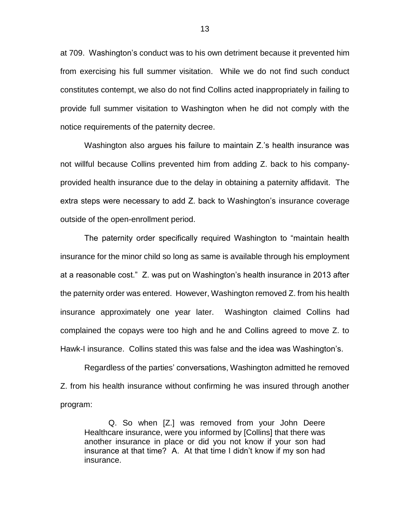at 709. Washington's conduct was to his own detriment because it prevented him from exercising his full summer visitation. While we do not find such conduct constitutes contempt, we also do not find Collins acted inappropriately in failing to provide full summer visitation to Washington when he did not comply with the notice requirements of the paternity decree.

Washington also argues his failure to maintain Z.'s health insurance was not willful because Collins prevented him from adding Z. back to his companyprovided health insurance due to the delay in obtaining a paternity affidavit. The extra steps were necessary to add Z. back to Washington's insurance coverage outside of the open-enrollment period.

The paternity order specifically required Washington to "maintain health insurance for the minor child so long as same is available through his employment at a reasonable cost." Z. was put on Washington's health insurance in 2013 after the paternity order was entered. However, Washington removed Z. from his health insurance approximately one year later. Washington claimed Collins had complained the copays were too high and he and Collins agreed to move Z. to Hawk-I insurance. Collins stated this was false and the idea was Washington's.

Regardless of the parties' conversations, Washington admitted he removed Z. from his health insurance without confirming he was insured through another program:

Q. So when [Z.] was removed from your John Deere Healthcare insurance, were you informed by [Collins] that there was another insurance in place or did you not know if your son had insurance at that time? A. At that time I didn't know if my son had insurance.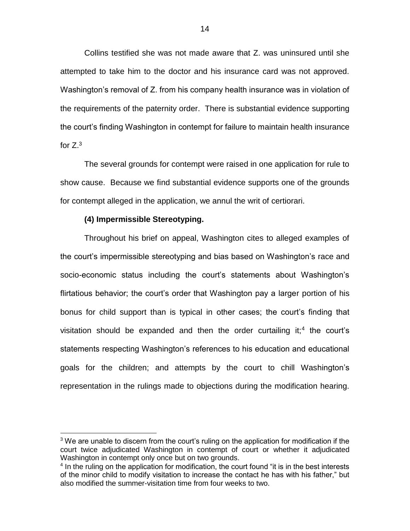Collins testified she was not made aware that Z. was uninsured until she attempted to take him to the doctor and his insurance card was not approved. Washington's removal of Z. from his company health insurance was in violation of the requirements of the paternity order. There is substantial evidence supporting the court's finding Washington in contempt for failure to maintain health insurance for  $Z^3$ 

The several grounds for contempt were raised in one application for rule to show cause. Because we find substantial evidence supports one of the grounds for contempt alleged in the application, we annul the writ of certiorari.

# **(4) Impermissible Stereotyping.**

 $\overline{a}$ 

Throughout his brief on appeal, Washington cites to alleged examples of the court's impermissible stereotyping and bias based on Washington's race and socio-economic status including the court's statements about Washington's flirtatious behavior; the court's order that Washington pay a larger portion of his bonus for child support than is typical in other cases; the court's finding that visitation should be expanded and then the order curtailing it;<sup>4</sup> the court's statements respecting Washington's references to his education and educational goals for the children; and attempts by the court to chill Washington's representation in the rulings made to objections during the modification hearing.

<sup>&</sup>lt;sup>3</sup> We are unable to discern from the court's ruling on the application for modification if the court twice adjudicated Washington in contempt of court or whether it adjudicated Washington in contempt only once but on two grounds.

<sup>&</sup>lt;sup>4</sup> In the ruling on the application for modification, the court found "it is in the best interests of the minor child to modify visitation to increase the contact he has with his father," but also modified the summer-visitation time from four weeks to two.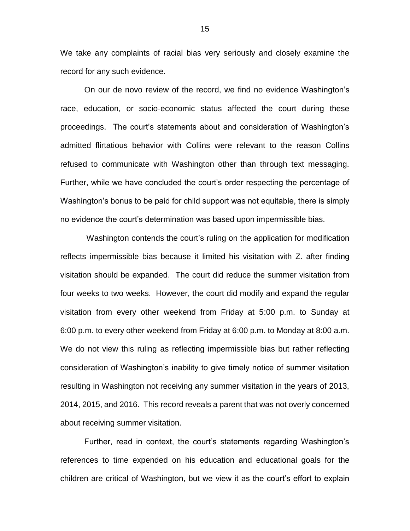We take any complaints of racial bias very seriously and closely examine the record for any such evidence.

On our de novo review of the record, we find no evidence Washington's race, education, or socio-economic status affected the court during these proceedings. The court's statements about and consideration of Washington's admitted flirtatious behavior with Collins were relevant to the reason Collins refused to communicate with Washington other than through text messaging. Further, while we have concluded the court's order respecting the percentage of Washington's bonus to be paid for child support was not equitable, there is simply no evidence the court's determination was based upon impermissible bias.

Washington contends the court's ruling on the application for modification reflects impermissible bias because it limited his visitation with Z. after finding visitation should be expanded. The court did reduce the summer visitation from four weeks to two weeks. However, the court did modify and expand the regular visitation from every other weekend from Friday at 5:00 p.m. to Sunday at 6:00 p.m. to every other weekend from Friday at 6:00 p.m. to Monday at 8:00 a.m. We do not view this ruling as reflecting impermissible bias but rather reflecting consideration of Washington's inability to give timely notice of summer visitation resulting in Washington not receiving any summer visitation in the years of 2013, 2014, 2015, and 2016. This record reveals a parent that was not overly concerned about receiving summer visitation.

Further, read in context, the court's statements regarding Washington's references to time expended on his education and educational goals for the children are critical of Washington, but we view it as the court's effort to explain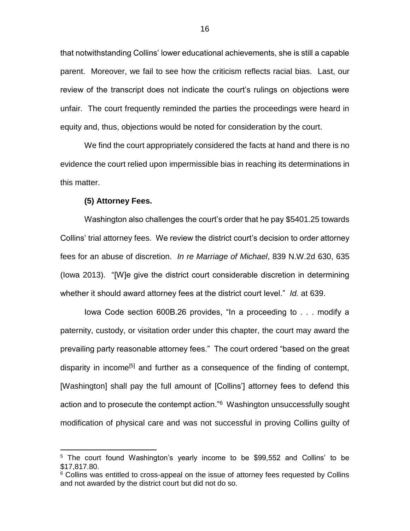that notwithstanding Collins' lower educational achievements, she is still a capable parent. Moreover, we fail to see how the criticism reflects racial bias. Last, our review of the transcript does not indicate the court's rulings on objections were unfair. The court frequently reminded the parties the proceedings were heard in equity and, thus, objections would be noted for consideration by the court.

We find the court appropriately considered the facts at hand and there is no evidence the court relied upon impermissible bias in reaching its determinations in this matter.

#### **(5) Attorney Fees.**

 $\overline{a}$ 

Washington also challenges the court's order that he pay \$5401.25 towards Collins' trial attorney fees. We review the district court's decision to order attorney fees for an abuse of discretion. *In re Marriage of Michael*, 839 N.W.2d 630, 635 (Iowa 2013). "[W]e give the district court considerable discretion in determining whether it should award attorney fees at the district court level." *Id.* at 639.

Iowa Code section 600B.26 provides, "In a proceeding to . . . modify a paternity, custody, or visitation order under this chapter, the court may award the prevailing party reasonable attorney fees." The court ordered "based on the great disparity in income<sup>[5]</sup> and further as a consequence of the finding of contempt, [Washington] shall pay the full amount of [Collins'] attorney fees to defend this action and to prosecute the contempt action."<sup>6</sup> Washington unsuccessfully sought modification of physical care and was not successful in proving Collins guilty of

<sup>&</sup>lt;sup>5</sup> The court found Washington's yearly income to be \$99,552 and Collins' to be \$17,817.80.

<sup>&</sup>lt;sup>6</sup> Collins was entitled to cross-appeal on the issue of attorney fees requested by Collins and not awarded by the district court but did not do so.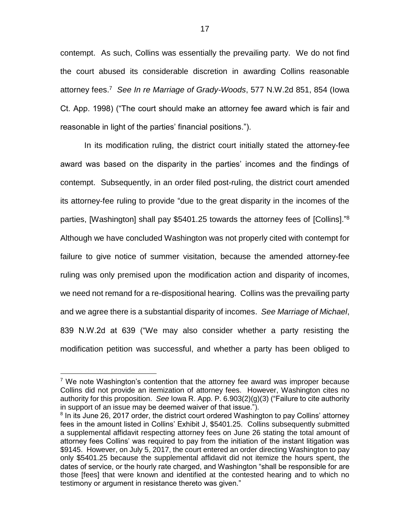contempt. As such, Collins was essentially the prevailing party. We do not find the court abused its considerable discretion in awarding Collins reasonable attorney fees. 7 *See In re Marriage of Grady-Woods*, 577 N.W.2d 851, 854 (Iowa Ct. App. 1998) ("The court should make an attorney fee award which is fair and reasonable in light of the parties' financial positions.").

In its modification ruling, the district court initially stated the attorney-fee award was based on the disparity in the parties' incomes and the findings of contempt. Subsequently, in an order filed post-ruling, the district court amended its attorney-fee ruling to provide "due to the great disparity in the incomes of the parties, [Washington] shall pay \$5401.25 towards the attorney fees of [Collins].<sup>"8</sup> Although we have concluded Washington was not properly cited with contempt for failure to give notice of summer visitation, because the amended attorney-fee ruling was only premised upon the modification action and disparity of incomes, we need not remand for a re-dispositional hearing. Collins was the prevailing party and we agree there is a substantial disparity of incomes. *See Marriage of Michael*, 839 N.W.2d at 639 ("We may also consider whether a party resisting the modification petition was successful, and whether a party has been obliged to

 $\overline{a}$ 

 $7$  We note Washington's contention that the attorney fee award was improper because Collins did not provide an itemization of attorney fees. However, Washington cites no authority for this proposition. *See* Iowa R. App. P. 6.903(2)(g)(3) ("Failure to cite authority in support of an issue may be deemed waiver of that issue.").

<sup>&</sup>lt;sup>8</sup> In its June 26, 2017 order, the district court ordered Washington to pay Collins' attorney fees in the amount listed in Collins' Exhibit J, \$5401.25. Collins subsequently submitted a supplemental affidavit respecting attorney fees on June 26 stating the total amount of attorney fees Collins' was required to pay from the initiation of the instant litigation was \$9145. However, on July 5, 2017, the court entered an order directing Washington to pay only \$5401.25 because the supplemental affidavit did not itemize the hours spent, the dates of service, or the hourly rate charged, and Washington "shall be responsible for are those [fees] that were known and identified at the contested hearing and to which no testimony or argument in resistance thereto was given."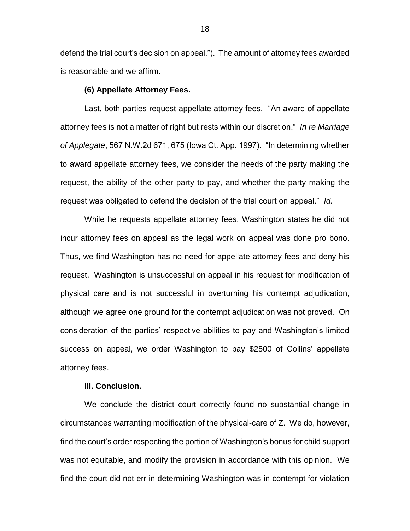defend the trial court's decision on appeal."). The amount of attorney fees awarded is reasonable and we affirm.

#### **(6) Appellate Attorney Fees.**

Last, both parties request appellate attorney fees. "An award of appellate attorney fees is not a matter of right but rests within our discretion." *In re Marriage of Applegate*, 567 N.W.2d 671, 675 (Iowa Ct. App. 1997). "In determining whether to award appellate attorney fees, we consider the needs of the party making the request, the ability of the other party to pay, and whether the party making the request was obligated to defend the decision of the trial court on appeal." *Id.*

While he requests appellate attorney fees, Washington states he did not incur attorney fees on appeal as the legal work on appeal was done pro bono. Thus, we find Washington has no need for appellate attorney fees and deny his request. Washington is unsuccessful on appeal in his request for modification of physical care and is not successful in overturning his contempt adjudication, although we agree one ground for the contempt adjudication was not proved. On consideration of the parties' respective abilities to pay and Washington's limited success on appeal, we order Washington to pay \$2500 of Collins' appellate attorney fees.

#### **III. Conclusion.**

We conclude the district court correctly found no substantial change in circumstances warranting modification of the physical-care of Z. We do, however, find the court's order respecting the portion of Washington's bonus for child support was not equitable, and modify the provision in accordance with this opinion. We find the court did not err in determining Washington was in contempt for violation